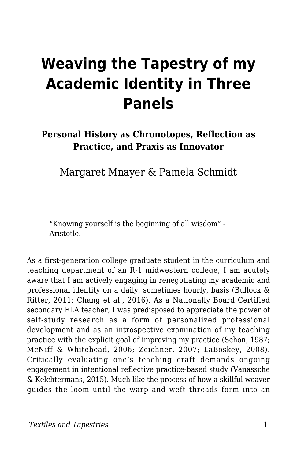# **Weaving the Tapestry of my Academic Identity in Three Panels**

#### **Personal History as Chronotopes, Reflection as Practice, and Praxis as Innovator**

Margaret Mnayer & Pamela Schmidt

"Knowing yourself is the beginning of all wisdom" - Aristotle.

As a first-generation college graduate student in the curriculum and teaching department of an R-1 midwestern college, I am acutely aware that I am actively engaging in renegotiating my academic and professional identity on a daily, sometimes hourly, basis (Bullock & Ritter, 2011; Chang et al., 2016). As a Nationally Board Certified secondary ELA teacher, I was predisposed to appreciate the power of self-study research as a form of personalized professional development and as an introspective examination of my teaching practice with the explicit goal of improving my practice (Schon, 1987; McNiff & Whitehead, 2006; Zeichner, 2007; LaBoskey, 2008). Critically evaluating one's teaching craft demands ongoing engagement in intentional reflective practice-based study (Vanassche & Kelchtermans, 2015). Much like the process of how a skillful weaver guides the loom until the warp and weft threads form into an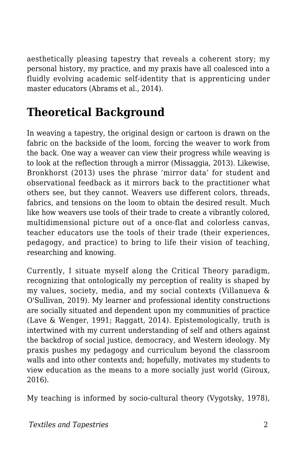aesthetically pleasing tapestry that reveals a coherent story; my personal history, my practice, and my praxis have all coalesced into a fluidly evolving academic self-identity that is apprenticing under master educators (Abrams et al., 2014).

## **Theoretical Background**

In weaving a tapestry, the original design or cartoon is drawn on the fabric on the backside of the loom, forcing the weaver to work from the back. One way a weaver can view their progress while weaving is to look at the reflection through a mirror (Missaggia, 2013). Likewise, Bronkhorst (2013) uses the phrase 'mirror data' for student and observational feedback as it mirrors back to the practitioner what others see, but they cannot. Weavers use different colors, threads, fabrics, and tensions on the loom to obtain the desired result. Much like how weavers use tools of their trade to create a vibrantly colored, multidimensional picture out of a once-flat and colorless canvas, teacher educators use the tools of their trade (their experiences, pedagogy, and practice) to bring to life their vision of teaching, researching and knowing.

Currently, I situate myself along the Critical Theory paradigm, recognizing that ontologically my perception of reality is shaped by my values, society, media, and my social contexts (Villanueva & O'Sullivan, 2019). My learner and professional identity constructions are socially situated and dependent upon my communities of practice (Lave & Wenger, 1991; Raggatt, 2014). Epistemologically, truth is intertwined with my current understanding of self and others against the backdrop of social justice, democracy, and Western ideology. My praxis pushes my pedagogy and curriculum beyond the classroom walls and into other contexts and; hopefully, motivates my students to view education as the means to a more socially just world (Giroux, 2016).

My teaching is informed by socio-cultural theory (Vygotsky, 1978),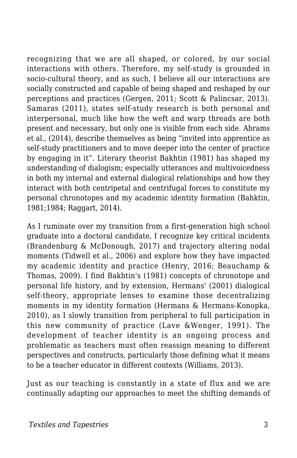recognizing that we are all shaped, or colored, by our social interactions with others. Therefore, my self-study is grounded in socio-cultural theory, and as such, I believe all our interactions are socially constructed and capable of being shaped and reshaped by our perceptions and practices (Gergen, 2011; Scott & Palincsar, 2013). Samaras (2011), states self-study research is both personal and interpersonal, much like how the weft and warp threads are both present and necessary, but only one is visible from each side. Abrams et al., (2014), describe themselves as being "invited into apprentice as self-study practitioners and to move deeper into the center of practice by engaging in it". Literary theorist Bakhtin (1981) has shaped my understanding of dialogism; especially utterances and multivoicedness in both my internal and external dialogical relationships and how they interact with both centripetal and centrifugal forces to constitute my personal chronotopes and my academic identity formation (Bahktin, 1981;1984; Raggart, 2014).

As I ruminate over my transition from a first-generation high school graduate into a doctoral candidate, I recognize key critical incidents (Brandenburg & McDonough, 2017) and trajectory altering nodal moments (Tidwell et al., 2006) and explore how they have impacted my academic identity and practice (Henry, 2016; Beauchamp & Thomas, 2009). I find Bakhtin's (1981) concepts of chronotope and personal life history, and by extension, Hermans' (2001) dialogical self-theory, appropriate lenses to examine those decentralizing moments in my identity formation (Hermans & Hermans-Konopka, 2010), as I slowly transition from peripheral to full participation in this new community of practice (Lave &Wenger, 1991). The development of teacher identity is an ongoing process and problematic as teachers must often reassign meaning to different perspectives and constructs, particularly those defining what it means to be a teacher educator in different contexts (Williams, 2013).

Just as our teaching is constantly in a state of flux and we are continually adapting our approaches to meet the shifting demands of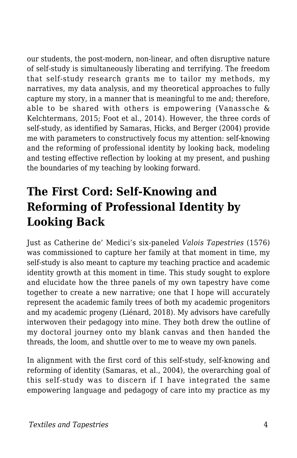our students, the post-modern, non-linear, and often disruptive nature of self-study is simultaneously liberating and terrifying. The freedom that self-study research grants me to tailor my methods, my narratives, my data analysis, and my theoretical approaches to fully capture my story, in a manner that is meaningful to me and; therefore, able to be shared with others is empowering (Vanassche & Kelchtermans, 2015; Foot et al., 2014). However, the three cords of self-study, as identified by Samaras, Hicks, and Berger (2004) provide me with parameters to constructively focus my attention: self-knowing and the reforming of professional identity by looking back, modeling and testing effective reflection by looking at my present, and pushing the boundaries of my teaching by looking forward.

#### **The First Cord: Self-Knowing and Reforming of Professional Identity by Looking Back**

Just as Catherine de' Medici's six-paneled *Valois Tapestries* (1576) was commissioned to capture her family at that moment in time, my self-study is also meant to capture my teaching practice and academic identity growth at this moment in time. This study sought to explore and elucidate how the three panels of my own tapestry have come together to create a new narrative; one that I hope will accurately represent the academic family trees of both my academic progenitors and my academic progeny (Liénard, 2018). My advisors have carefully interwoven their pedagogy into mine. They both drew the outline of my doctoral journey onto my blank canvas and then handed the threads, the loom, and shuttle over to me to weave my own panels.

In alignment with the first cord of this self-study, self-knowing and reforming of identity (Samaras, et al., 2004), the overarching goal of this self-study was to discern if I have integrated the same empowering language and pedagogy of care into my practice as my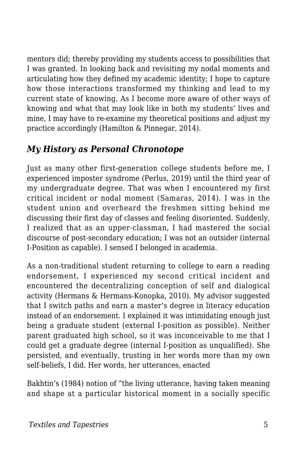mentors did; thereby providing my students access to possibilities that I was granted. In looking back and revisiting my nodal moments and articulating how they defined my academic identity; I hope to capture how those interactions transformed my thinking and lead to my current state of knowing. As I become more aware of other ways of knowing and what that may look like in both my students' lives and mine, I may have to re-examine my theoretical positions and adjust my practice accordingly (Hamilton & Pinnegar, 2014).

#### *My History as Personal Chronotope*

Just as many other first-generation college students before me, I experienced imposter syndrome (Perlus, 2019) until the third year of my undergraduate degree. That was when I encountered my first critical incident or nodal moment (Samaras, 2014). I was in the student union and overheard the freshmen sitting behind me discussing their first day of classes and feeling disoriented. Suddenly, I realized that as an upper-classman, I had mastered the social discourse of post-secondary education; I was not an outsider (internal I-Position as capable). I sensed I belonged in academia.

As a non-traditional student returning to college to earn a reading endorsement, I experienced my second critical incident and encountered the decentralizing conception of self and dialogical activity (Hermans & Hermans-Konopka, 2010). My advisor suggested that I switch paths and earn a master's degree in literacy education instead of an endorsement. I explained it was intimidating enough just being a graduate student (external I-position as possible). Neither parent graduated high school, so it was inconceivable to me that I could get a graduate degree (internal I-position as unqualified). She persisted, and eventually, trusting in her words more than my own self-beliefs, I did. Her words, her utterances, enacted

Bakhtin's (1984) notion of "the living utterance, having taken meaning and shape at a particular historical moment in a socially specific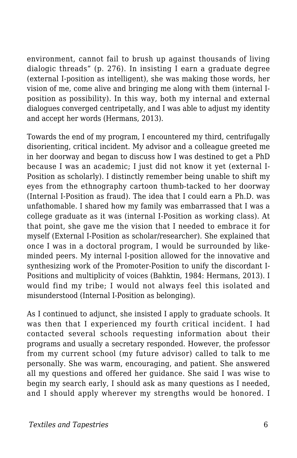environment, cannot fail to brush up against thousands of living dialogic threads" (p. 276). In insisting I earn a graduate degree (external I-position as intelligent), she was making those words, her vision of me, come alive and bringing me along with them (internal Iposition as possibility). In this way, both my internal and external dialogues converged centripetally, and I was able to adjust my identity and accept her words (Hermans, 2013).

Towards the end of my program, I encountered my third, centrifugally disorienting, critical incident. My advisor and a colleague greeted me in her doorway and began to discuss how I was destined to get a PhD because I was an academic; I just did not know it yet (external I-Position as scholarly). I distinctly remember being unable to shift my eyes from the ethnography cartoon thumb-tacked to her doorway (Internal I-Position as fraud). The idea that I could earn a Ph.D. was unfathomable. I shared how my family was embarrassed that I was a college graduate as it was (internal I-Position as working class). At that point, she gave me the vision that I needed to embrace it for myself (External I-Position as scholar/researcher). She explained that once I was in a doctoral program, I would be surrounded by likeminded peers. My internal I-position allowed for the innovative and synthesizing work of the Promoter-Position to unify the discordant I-Positions and multiplicity of voices (Bahktin, 1984: Hermans, 2013). I would find my tribe; I would not always feel this isolated and misunderstood (Internal I-Position as belonging).

As I continued to adjunct, she insisted I apply to graduate schools. It was then that I experienced my fourth critical incident. I had contacted several schools requesting information about their programs and usually a secretary responded. However, the professor from my current school (my future advisor) called to talk to me personally. She was warm, encouraging, and patient. She answered all my questions and offered her guidance. She said I was wise to begin my search early, I should ask as many questions as I needed, and I should apply wherever my strengths would be honored. I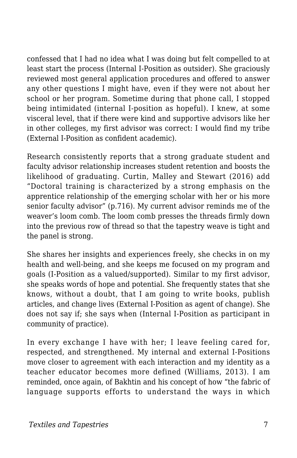confessed that I had no idea what I was doing but felt compelled to at least start the process (Internal I-Position as outsider). She graciously reviewed most general application procedures and offered to answer any other questions I might have, even if they were not about her school or her program. Sometime during that phone call, I stopped being intimidated (internal I-position as hopeful). I knew, at some visceral level, that if there were kind and supportive advisors like her in other colleges, my first advisor was correct: I would find my tribe (External I-Position as confident academic).

Research consistently reports that a strong graduate student and faculty advisor relationship increases student retention and boosts the likelihood of graduating. Curtin, Malley and Stewart (2016) add "Doctoral training is characterized by a strong emphasis on the apprentice relationship of the emerging scholar with her or his more senior faculty advisor" (p.716). My current advisor reminds me of the weaver's loom comb. The loom comb presses the threads firmly down into the previous row of thread so that the tapestry weave is tight and the panel is strong.

She shares her insights and experiences freely, she checks in on my health and well-being, and she keeps me focused on my program and goals (I-Position as a valued/supported). Similar to my first advisor, she speaks words of hope and potential. She frequently states that she knows, without a doubt, that I am going to write books, publish articles, and change lives (External I-Position as agent of change). She does not say if; she says when (Internal I-Position as participant in community of practice).

In every exchange I have with her; I leave feeling cared for, respected, and strengthened. My internal and external I-Positions move closer to agreement with each interaction and my identity as a teacher educator becomes more defined (Williams, 2013). I am reminded, once again, of Bakhtin and his concept of how "the fabric of language supports efforts to understand the ways in which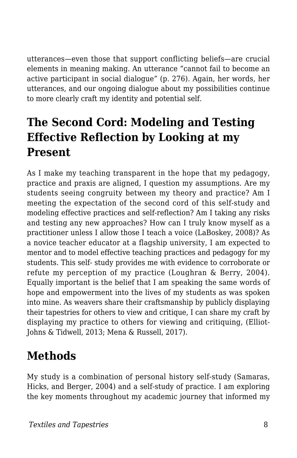utterances—even those that support conflicting beliefs—are crucial elements in meaning making. An utterance "cannot fail to become an active participant in social dialogue" (p. 276). Again, her words, her utterances, and our ongoing dialogue about my possibilities continue to more clearly craft my identity and potential self.

## **The Second Cord: Modeling and Testing Effective Reflection by Looking at my Present**

As I make my teaching transparent in the hope that my pedagogy, practice and praxis are aligned, I question my assumptions. Are my students seeing congruity between my theory and practice? Am I meeting the expectation of the second cord of this self-study and modeling effective practices and self-reflection? Am I taking any risks and testing any new approaches? How can I truly know myself as a practitioner unless I allow those I teach a voice (LaBoskey, 2008)? As a novice teacher educator at a flagship university, I am expected to mentor and to model effective teaching practices and pedagogy for my students. This self- study provides me with evidence to corroborate or refute my perception of my practice (Loughran & Berry, 2004). Equally important is the belief that I am speaking the same words of hope and empowerment into the lives of my students as was spoken into mine. As weavers share their craftsmanship by publicly displaying their tapestries for others to view and critique, I can share my craft by displaying my practice to others for viewing and critiquing, (Elliot-Johns & Tidwell, 2013; Mena & Russell, 2017).

#### **Methods**

My study is a combination of personal history self-study (Samaras, Hicks, and Berger, 2004) and a self-study of practice. I am exploring the key moments throughout my academic journey that informed my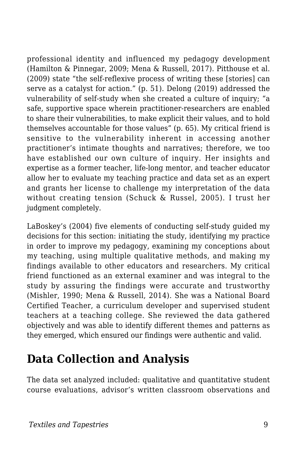professional identity and influenced my pedagogy development (Hamilton & Pinnegar, 2009; Mena & Russell, 2017). Pitthouse et al. (2009) state "the self-reflexive process of writing these [stories] can serve as a catalyst for action." (p. 51). Delong (2019) addressed the vulnerability of self-study when she created a culture of inquiry; "a safe, supportive space wherein practitioner-researchers are enabled to share their vulnerabilities, to make explicit their values, and to hold themselves accountable for those values" (p. 65). My critical friend is sensitive to the vulnerability inherent in accessing another practitioner's intimate thoughts and narratives; therefore, we too have established our own culture of inquiry. Her insights and expertise as a former teacher, life-long mentor, and teacher educator allow her to evaluate my teaching practice and data set as an expert and grants her license to challenge my interpretation of the data without creating tension (Schuck & Russel, 2005). I trust her judgment completely.

LaBoskey's (2004) five elements of conducting self-study guided my decisions for this section: initiating the study, identifying my practice in order to improve my pedagogy, examining my conceptions about my teaching, using multiple qualitative methods, and making my findings available to other educators and researchers. My critical friend functioned as an external examiner and was integral to the study by assuring the findings were accurate and trustworthy (Mishler, 1990; Mena & Russell, 2014). She was a National Board Certified Teacher, a curriculum developer and supervised student teachers at a teaching college. She reviewed the data gathered objectively and was able to identify different themes and patterns as they emerged, which ensured our findings were authentic and valid.

#### **Data Collection and Analysis**

The data set analyzed included: qualitative and quantitative student course evaluations, advisor's written classroom observations and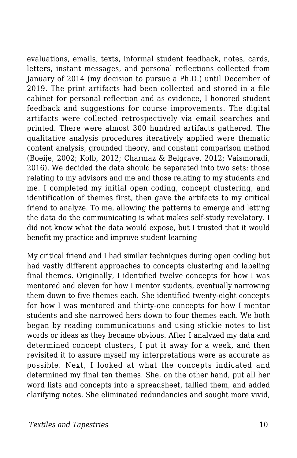evaluations, emails, texts, informal student feedback, notes, cards, letters, instant messages, and personal reflections collected from January of 2014 (my decision to pursue a Ph.D.) until December of 2019. The print artifacts had been collected and stored in a file cabinet for personal reflection and as evidence, I honored student feedback and suggestions for course improvements. The digital artifacts were collected retrospectively via email searches and printed. There were almost 300 hundred artifacts gathered. The qualitative analysis procedures iteratively applied were thematic content analysis, grounded theory, and constant comparison method (Boeije, 2002; Kolb, 2012; Charmaz & Belgrave, 2012; Vaismoradi, 2016). We decided the data should be separated into two sets: those relating to my advisors and me and those relating to my students and me. I completed my initial open coding, concept clustering, and identification of themes first, then gave the artifacts to my critical friend to analyze. To me, allowing the patterns to emerge and letting the data do the communicating is what makes self-study revelatory. I did not know what the data would expose, but I trusted that it would benefit my practice and improve student learning

My critical friend and I had similar techniques during open coding but had vastly different approaches to concepts clustering and labeling final themes. Originally, I identified twelve concepts for how I was mentored and eleven for how I mentor students, eventually narrowing them down to five themes each. She identified twenty-eight concepts for how I was mentored and thirty-one concepts for how I mentor students and she narrowed hers down to four themes each. We both began by reading communications and using stickie notes to list words or ideas as they became obvious. After I analyzed my data and determined concept clusters, I put it away for a week, and then revisited it to assure myself my interpretations were as accurate as possible. Next, I looked at what the concepts indicated and determined my final ten themes. She, on the other hand, put all her word lists and concepts into a spreadsheet, tallied them, and added clarifying notes. She eliminated redundancies and sought more vivid,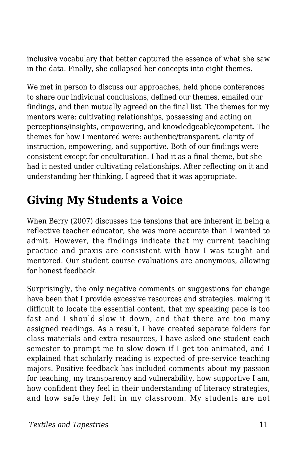inclusive vocabulary that better captured the essence of what she saw in the data. Finally, she collapsed her concepts into eight themes.

We met in person to discuss our approaches, held phone conferences to share our individual conclusions, defined our themes, emailed our findings, and then mutually agreed on the final list. The themes for my mentors were: cultivating relationships, possessing and acting on perceptions/insights, empowering, and knowledgeable/competent. The themes for how I mentored were: authentic/transparent. clarity of instruction, empowering, and supportive. Both of our findings were consistent except for enculturation. I had it as a final theme, but she had it nested under cultivating relationships. After reflecting on it and understanding her thinking, I agreed that it was appropriate.

#### **Giving My Students a Voice**

When Berry (2007) discusses the tensions that are inherent in being a reflective teacher educator, she was more accurate than I wanted to admit. However, the findings indicate that my current teaching practice and praxis are consistent with how I was taught and mentored. Our student course evaluations are anonymous, allowing for honest feedback.

Surprisingly, the only negative comments or suggestions for change have been that I provide excessive resources and strategies, making it difficult to locate the essential content, that my speaking pace is too fast and I should slow it down, and that there are too many assigned readings. As a result, I have created separate folders for class materials and extra resources, I have asked one student each semester to prompt me to slow down if I get too animated, and I explained that scholarly reading is expected of pre-service teaching majors. Positive feedback has included comments about my passion for teaching, my transparency and vulnerability, how supportive I am, how confident they feel in their understanding of literacy strategies, and how safe they felt in my classroom. My students are not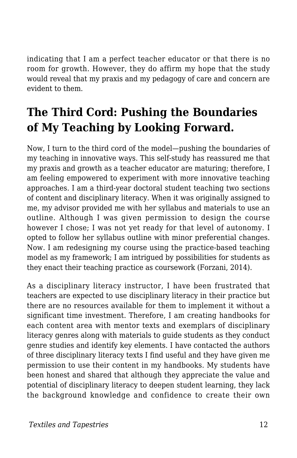indicating that I am a perfect teacher educator or that there is no room for growth. However, they do affirm my hope that the study would reveal that my praxis and my pedagogy of care and concern are evident to them.

## **The Third Cord: Pushing the Boundaries of My Teaching by Looking Forward.**

Now, I turn to the third cord of the model—pushing the boundaries of my teaching in innovative ways. This self-study has reassured me that my praxis and growth as a teacher educator are maturing; therefore, I am feeling empowered to experiment with more innovative teaching approaches. I am a third-year doctoral student teaching two sections of content and disciplinary literacy. When it was originally assigned to me, my advisor provided me with her syllabus and materials to use an outline. Although I was given permission to design the course however I chose; I was not yet ready for that level of autonomy. I opted to follow her syllabus outline with minor preferential changes. Now. I am redesigning my course using the practice-based teaching model as my framework; I am intrigued by possibilities for students as they enact their teaching practice as coursework (Forzani, 2014).

As a disciplinary literacy instructor, I have been frustrated that teachers are expected to use disciplinary literacy in their practice but there are no resources available for them to implement it without a significant time investment. Therefore, I am creating handbooks for each content area with mentor texts and exemplars of disciplinary literacy genres along with materials to guide students as they conduct genre studies and identify key elements. I have contacted the authors of three disciplinary literacy texts I find useful and they have given me permission to use their content in my handbooks. My students have been honest and shared that although they appreciate the value and potential of disciplinary literacy to deepen student learning, they lack the background knowledge and confidence to create their own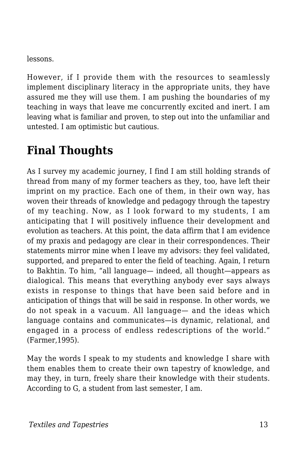lessons.

However, if I provide them with the resources to seamlessly implement disciplinary literacy in the appropriate units, they have assured me they will use them. I am pushing the boundaries of my teaching in ways that leave me concurrently excited and inert. I am leaving what is familiar and proven, to step out into the unfamiliar and untested. I am optimistic but cautious.

# **Final Thoughts**

As I survey my academic journey, I find I am still holding strands of thread from many of my former teachers as they, too, have left their imprint on my practice. Each one of them, in their own way, has woven their threads of knowledge and pedagogy through the tapestry of my teaching. Now, as I look forward to my students, I am anticipating that I will positively influence their development and evolution as teachers. At this point, the data affirm that I am evidence of my praxis and pedagogy are clear in their correspondences. Their statements mirror mine when I leave my advisors: they feel validated, supported, and prepared to enter the field of teaching. Again, I return to Bakhtin. To him, "all language— indeed, all thought—appears as dialogical. This means that everything anybody ever says always exists in response to things that have been said before and in anticipation of things that will be said in response. In other words, we do not speak in a vacuum. All language— and the ideas which language contains and communicates—is dynamic, relational, and engaged in a process of endless redescriptions of the world." (Farmer,1995).

May the words I speak to my students and knowledge I share with them enables them to create their own tapestry of knowledge, and may they, in turn, freely share their knowledge with their students. According to G, a student from last semester, I am.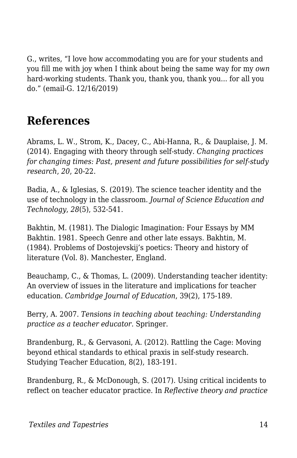G., writes, "I love how accommodating you are for your students and you fill me with joy when I think about being the same way for my *own* hard-working students. Thank you, thank you, thank you... for all you do." (email-G. 12/16/2019)

#### **References**

Abrams, L. W., Strom, K., Dacey, C., Abi-Hanna, R., & Dauplaise, J. M. (2014). Engaging with theory through self-study. *Changing practices for changing times: Past, present and future possibilities for self-study research*, *20*, 20-22.

Badia, A., & Iglesias, S. (2019). The science teacher identity and the use of technology in the classroom. *Journal of Science Education and Technology*, *28*(5), 532-541.

Bakhtin, M. (1981). The Dialogic Imagination: Four Essays by MM Bakhtin. 1981. Speech Genre and other late essays. Bakhtin, M. (1984). Problems of Dostojevskij's poetics: Theory and history of literature (Vol. 8). Manchester, England.

Beauchamp, C., & Thomas, L. (2009). Understanding teacher identity: An overview of issues in the literature and implications for teacher education. *Cambridge Journal of Education*, 39(2), 175-189.

Berry, A. 2007. *Tensions in teaching about teaching: Understanding practice as a teacher educator.* Springer.

Brandenburg, R., & Gervasoni, A. (2012). Rattling the Cage: Moving beyond ethical standards to ethical praxis in self-study research. Studying Teacher Education, 8(2), 183-191.

Brandenburg, R., & McDonough, S. (2017). Using critical incidents to reflect on teacher educator practice. In *Reflective theory and practice*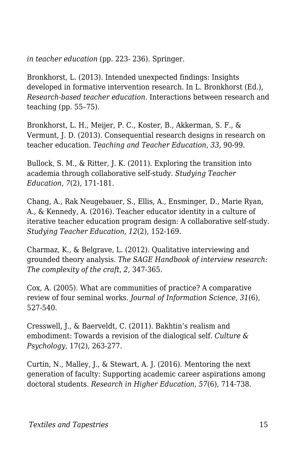*in teacher education* (pp. 223- 236). Springer.

Bronkhorst, L. (2013). Intended unexpected findings: Insights developed in formative intervention research. In L. Bronkhorst (Ed.), *Research-based teacher education*. Interactions between research and teaching (pp. 55–75).

Bronkhorst, L. H., Meijer, P. C., Koster, B., Akkerman, S. F., & Vermunt, J. D. (2013). Consequential research designs in research on teacher education. *Teaching and Teacher Education*, *33*, 90-99.

Bullock, S. M., & Ritter, J. K. (2011). Exploring the transition into academia through collaborative self-study. *Studying Teacher Education*, *7*(2), 171-181.

Chang, A., Rak Neugebauer, S., Ellis, A., Ensminger, D., Marie Ryan, A., & Kennedy, A. (2016). Teacher educator identity in a culture of iterative teacher education program design: A collaborative self-study. *Studying Teacher Education*, *12*(2), 152-169.

Charmaz, K., & Belgrave, L. (2012). Qualitative interviewing and grounded theory analysis. *The SAGE Handbook of interview research: The complexity of the craft*, *2*, 347-365.

Cox, A. (2005). What are communities of practice? A comparative review of four seminal works. *Journal of Information Science*, *31*(6), 527-540.

Cresswell, J., & Baerveldt, C. (2011). Bakhtin's realism and embodiment: Towards a revision of the dialogical self. *Culture & Psychology*, 17(2), 263-277.

Curtin, N., Malley, J., & Stewart, A. J. (2016). Mentoring the next generation of faculty: Supporting academic career aspirations among doctoral students. *Research in Higher Education*, *57*(6), 714-738.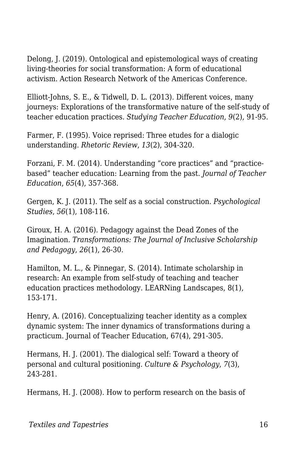Delong, J. (2019). Ontological and epistemological ways of creating living-theories for social transformation: A form of educational activism. Action Research Network of the Americas Conference.

Elliott-Johns, S. E., & Tidwell, D. L. (2013). Different voices, many journeys: Explorations of the transformative nature of the self-study of teacher education practices. *Studying Teacher Education*, *9*(2), 91-95.

Farmer, F. (1995). Voice reprised: Three etudes for a dialogic understanding. *Rhetoric Review*, *13*(2), 304-320.

Forzani, F. M. (2014). Understanding "core practices" and "practicebased" teacher education: Learning from the past. *Journal of Teacher Education*, *65*(4), 357-368.

Gergen, K. J. (2011). The self as a social construction. *Psychological Studies*, *56*(1), 108-116.

Giroux, H. A. (2016). Pedagogy against the Dead Zones of the Imagination. *Transformations: The Journal of Inclusive Scholarship and Pedagogy*, *26*(1), 26-30.

Hamilton, M. L., & Pinnegar, S. (2014). Intimate scholarship in research: An example from self-study of teaching and teacher education practices methodology. LEARNing Landscapes, 8(1), 153-171.

Henry, A. (2016). Conceptualizing teacher identity as a complex dynamic system: The inner dynamics of transformations during a practicum. Journal of Teacher Education, 67(4), 291-305.

Hermans, H. J. (2001). The dialogical self: Toward a theory of personal and cultural positioning. *Culture & Psychology*, *7*(3), 243-281.

Hermans, H. J. (2008). How to perform research on the basis of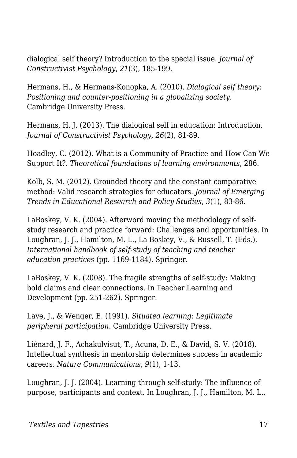dialogical self theory? Introduction to the special issue. *Journal of Constructivist Psychology*, *21*(3), 185-199.

Hermans, H., & Hermans-Konopka, A. (2010). *Dialogical self theory: Positioning and counter-positioning in a globalizing society*. Cambridge University Press.

Hermans, H. J. (2013). The dialogical self in education: Introduction. *Journal of Constructivist Psychology*, *26*(2), 81-89.

Hoadley, C. (2012). What is a Community of Practice and How Can We Support It?. *Theoretical foundations of learning environments*, 286.

Kolb, S. M. (2012). Grounded theory and the constant comparative method: Valid research strategies for educators. *Journal of Emerging Trends in Educational Research and Policy Studies*, *3*(1), 83-86.

LaBoskey, V. K. (2004). Afterword moving the methodology of selfstudy research and practice forward: Challenges and opportunities. In Loughran, J. J., Hamilton, M. L., La Boskey, V., & Russell, T. (Eds.). *International handbook of self-study of teaching and teacher education practices* (pp. 1169-1184). Springer.

LaBoskey, V. K. (2008). The fragile strengths of self-study: Making bold claims and clear connections. In Teacher Learning and Development (pp. 251-262). Springer.

Lave, J., & Wenger, E. (1991). *Situated learning: Legitimate peripheral participation*. Cambridge University Press.

Liénard, J. F., Achakulvisut, T., Acuna, D. E., & David, S. V. (2018). Intellectual synthesis in mentorship determines success in academic careers. *Nature Communications*, *9*(1), 1-13.

Loughran, J. J. (2004). Learning through self-study: The influence of purpose, participants and context. In Loughran, J. J., Hamilton, M. L.,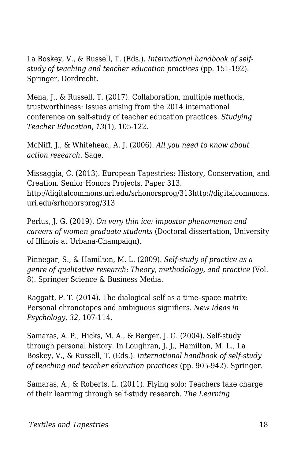La Boskey, V., & Russell, T. (Eds.). *International handbook of selfstudy of teaching and teacher education practices* (pp. 151-192). Springer, Dordrecht.

Mena, J., & Russell, T. (2017). Collaboration, multiple methods, trustworthiness: Issues arising from the 2014 international conference on self-study of teacher education practices. *Studying Teacher Education*, *13*(1), 105-122.

McNiff, J., & Whitehead, A. J. (2006). *All you need to know about action research*. Sage.

Missaggia, C. (2013). European Tapestries: History, Conservation, and Creation. Senior Honors Projects. Paper 313. http://digitalcommons.uri.edu/srhonorsprog/313http://digitalcommons. uri.edu/srhonorsprog/313

Perlus, J. G. (2019). *On very thin ice: impostor phenomenon and careers of women graduate students* (Doctoral dissertation, University of Illinois at Urbana-Champaign).

Pinnegar, S., & Hamilton, M. L. (2009). *Self-study of practice as a genre of qualitative research: Theory, methodology, and practice* (Vol. 8). Springer Science & Business Media.

Raggatt, P. T. (2014). The dialogical self as a time–space matrix: Personal chronotopes and ambiguous signifiers. *New Ideas in Psychology*, *32*, 107-114.

Samaras, A. P., Hicks, M. A., & Berger, J. G. (2004). Self-study through personal history. In Loughran, J. J., Hamilton, M. L., La Boskey, V., & Russell, T. (Eds.). *International handbook of self-study of teaching and teacher education practices* (pp. 905-942). Springer.

Samaras, A., & Roberts, L. (2011). Flying solo: Teachers take charge of their learning through self-study research. *The Learning*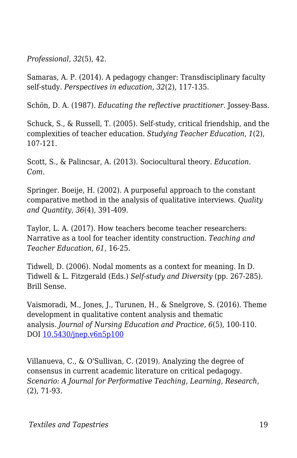*Professional*, *32*(5), 42.

Samaras, A. P. (2014). A pedagogy changer: Transdisciplinary faculty self-study. *Perspectives in education*, *32*(2), 117-135.

Schön, D. A. (1987). *Educating the reflective practitioner*. Jossey-Bass.

Schuck, S., & Russell, T. (2005). Self-study, critical friendship, and the complexities of teacher education. *Studying Teacher Education*, *1*(2), 107-121.

Scott, S., & Palincsar, A. (2013). Sociocultural theory. *Education. Com*.

Springer. Boeije, H. (2002). A purposeful approach to the constant comparative method in the analysis of qualitative interviews. *Quality and Quantity*, *36*(4), 391-409.

Taylor, L. A. (2017). How teachers become teacher researchers: Narrative as a tool for teacher identity construction. *Teaching and Teacher Education*, *61*, 16-25.

Tidwell, D. (2006). Nodal moments as a context for meaning. In D. Tidwell & L. Fitzgerald (Eds.) *Self-study and Diversity* (pp. 267-285). Brill Sense.

Vaismoradi, M., Jones, J., Turunen, H., & Snelgrove, S. (2016). Theme development in qualitative content analysis and thematic analysis. *Journal of Nursing Education and Practice, 6*(5), 100-110. DOI [10.5430/jnep.v6n5p100](https://www.researchgate.net/deref/http%3A%2F%2Fdx.doi.org%2F10.5430%2Fjnep.v6n5p100?_sg%5B0%5D=uaAA7G4oHcNIrvjw9lCY53DtRjDWIruJRMlP8mjuuPhu5M1bm-37vG-D7DIYCL1LJxmOcelcDofXlKHwMSaVnrFv8A.m7EbA48_D8ID3wYAANYA9akiJj848qGHXlIv3HGAHSegSHCHchcgpRwL3_HxoFpESrFBBFpzcaHh8xWVFUSKgw)

Villanueva, C., & O'Sullivan, C. (2019). Analyzing the degree of consensus in current academic literature on critical pedagogy. *Scenario: A Journal for Performative Teaching, Learning, Research*, (2), 71-93.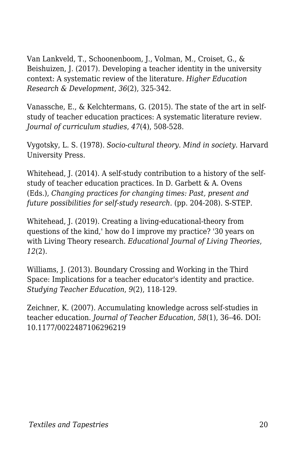Van Lankveld, T., Schoonenboom, J., Volman, M., Croiset, G., & Beishuizen, J. (2017). Developing a teacher identity in the university context: A systematic review of the literature. *Higher Education Research & Development*, *36*(2), 325-342.

Vanassche, E., & Kelchtermans, G. (2015). The state of the art in selfstudy of teacher education practices: A systematic literature review. *Journal of curriculum studies*, *47*(4), 508-528.

Vygotsky, L. S. (1978). *Socio-cultural theory. Mind in society*. Harvard University Press.

Whitehead, J. (2014). A self-study contribution to a history of the selfstudy of teacher education practices. In D. Garbett & A. Ovens (Eds.), *Changing practices for changing times: Past, present and future possibilities for self-study research.* (pp. 204-208). S-STEP.

Whitehead, J. (2019). Creating a living-educational-theory from questions of the kind,' how do I improve my practice? '30 years on with Living Theory research. *Educational Journal of Living Theories*, *12*(2).

Williams, J. (2013). Boundary Crossing and Working in the Third Space: Implications for a teacher educator's identity and practice. *Studying Teacher Education*, *9*(2), 118-129.

Zeichner, K. (2007). Accumulating knowledge across self-studies in teacher education. *Journal of Teacher Education*, *58*(1), 36–46. DOI: 10.1177/0022487106296219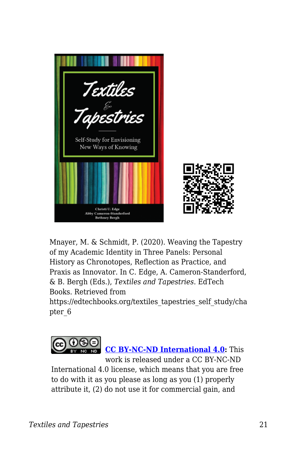

Mnayer, M. & Schmidt, P. (2020). Weaving the Tapestry of my Academic Identity in Three Panels: Personal History as Chronotopes, Reflection as Practice, and Praxis as Innovator. In C. Edge, A. Cameron-Standerford, & B. Bergh (Eds.), *Textiles and Tapestries*. EdTech Books. Retrieved from

https://edtechbooks.org/textiles\_tapestries\_self\_study/cha pter\_6



International 4.0 license, which means that you are free to do with it as you please as long as you (1) properly attribute it, (2) do not use it for commercial gain, and